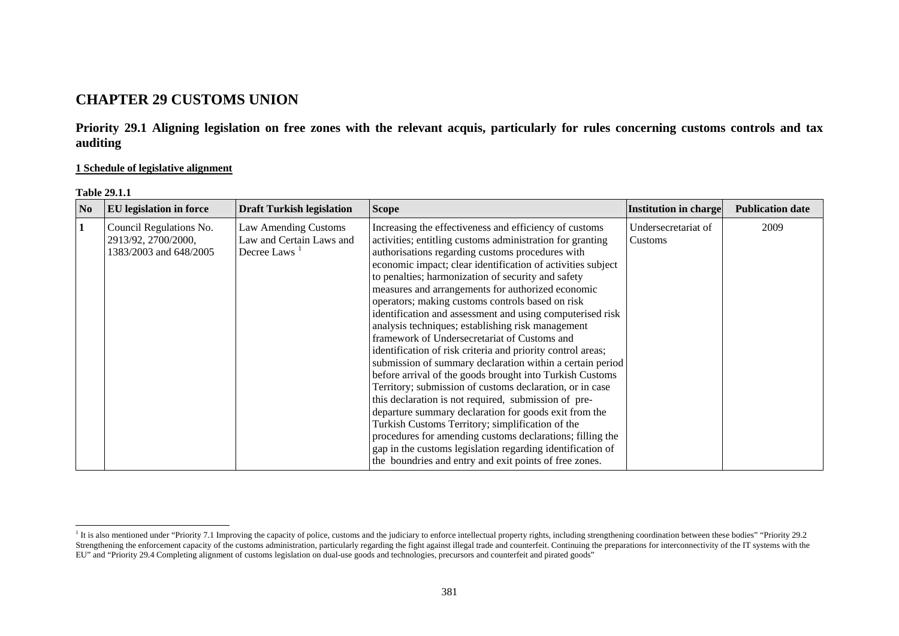# **CHAPTER 29 CUSTOMS UNION**

**Priority 29.1 Aligning legislation on free zones with the relevant acquis, particularly for rules concerning customs controls and tax auditing** 

### **1 Schedule of legislative alignment**

| l'able 29. |  |
|------------|--|
|            |  |

| N <sub>0</sub> | <b>EU</b> legislation in force                                           | <b>Draft Turkish legislation</b>                                             | <b>Scope</b>                                                                                                                                                                                                                                                                                                                                                                                                                                                                                                                                                                                                                                                                                                                                                                                                                                                                                                                                                                                                                                                                                                                                                                          | <b>Institution in charge</b>   | <b>Publication date</b> |
|----------------|--------------------------------------------------------------------------|------------------------------------------------------------------------------|---------------------------------------------------------------------------------------------------------------------------------------------------------------------------------------------------------------------------------------------------------------------------------------------------------------------------------------------------------------------------------------------------------------------------------------------------------------------------------------------------------------------------------------------------------------------------------------------------------------------------------------------------------------------------------------------------------------------------------------------------------------------------------------------------------------------------------------------------------------------------------------------------------------------------------------------------------------------------------------------------------------------------------------------------------------------------------------------------------------------------------------------------------------------------------------|--------------------------------|-------------------------|
| $\mathbf{1}$   | Council Regulations No.<br>2913/92, 2700/2000,<br>1383/2003 and 648/2005 | Law Amending Customs<br>Law and Certain Laws and<br>Decree Laws <sup>1</sup> | Increasing the effectiveness and efficiency of customs<br>activities; entitling customs administration for granting<br>authorisations regarding customs procedures with<br>economic impact; clear identification of activities subject<br>to penalties; harmonization of security and safety<br>measures and arrangements for authorized economic<br>operators; making customs controls based on risk<br>identification and assessment and using computerised risk<br>analysis techniques; establishing risk management<br>framework of Undersecretariat of Customs and<br>identification of risk criteria and priority control areas;<br>submission of summary declaration within a certain period<br>before arrival of the goods brought into Turkish Customs<br>Territory; submission of customs declaration, or in case<br>this declaration is not required, submission of pre-<br>departure summary declaration for goods exit from the<br>Turkish Customs Territory; simplification of the<br>procedures for amending customs declarations; filling the<br>gap in the customs legislation regarding identification of<br>the boundries and entry and exit points of free zones. | Undersecretariat of<br>Customs | 2009                    |

<span id="page-0-0"></span><sup>&</sup>lt;sup>1</sup> It is also mentioned under "Priority 7.1 Improving the capacity of police, customs and the judiciary to enforce intellectual property rights, including strengthening coordination between these bodies" "Priority 29.2 Strengthening the enforcement capacity of the customs administration, particularly regarding the fight against illegal trade and counterfeit. Continuing the preparations for interconnectivity of the IT systems with the EU" and "Priority 29.4 Completing alignment of customs legislation on dual-use goods and technologies, precursors and counterfeit and pirated goods"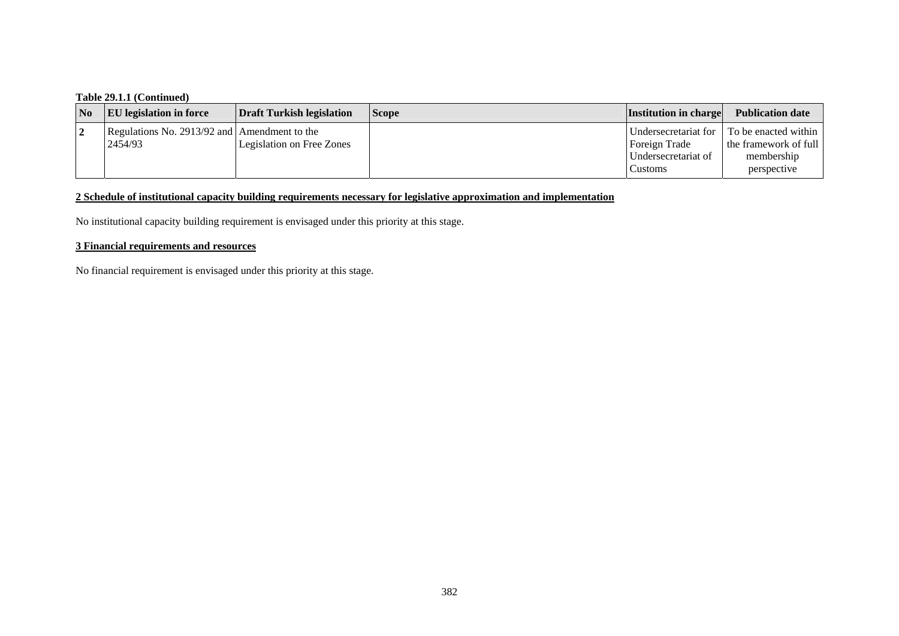## **Table 29.1.1 (Continued)**

| N <sub>0</sub> | <b>EU</b> legislation in force               | Draft Turkish legislation | <b>Scope</b> | <b>Institution in charge</b> | <b>Publication date</b>                   |
|----------------|----------------------------------------------|---------------------------|--------------|------------------------------|-------------------------------------------|
|                | Regulations No. 2913/92 and Amendment to the |                           |              |                              | Undersecretariat for To be enacted within |
|                | 2454/93                                      | Legislation on Free Zones |              | Foreign Trade                | the framework of full                     |
|                |                                              |                           |              | Undersecretariat of          | membership                                |
|                |                                              |                           |              | Customs                      | perspective                               |

### **2 Schedule of institutional capacity building requirements necessary for legislative approximation and implementation**

No institutional capacity building requirement is envisaged under this priority at this stage.

### **3 Financial requirements and resources**

No financial requirement is envisaged under this priority at this stage.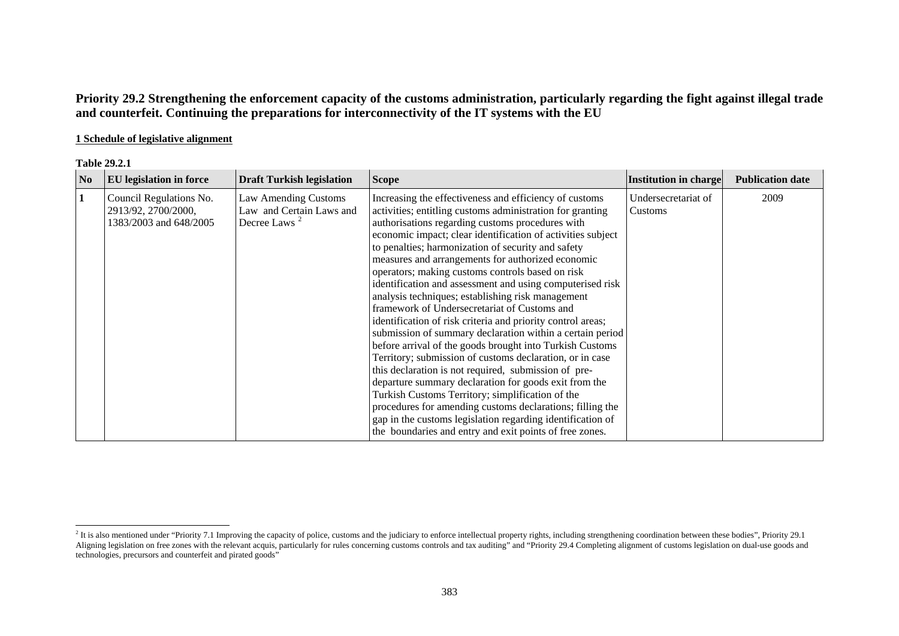**Priority 29.2 Strengthening the enforcement capacity of the customs administration, particularly regarding the fight against illegal trade and counterfeit. Continuing the preparations for interconnectivity of the IT systems with the EU** 

### **1 Schedule of legislative alignment**

| N <sub>0</sub> | EU legislation in force                                                  | <b>Draft Turkish legislation</b>                                             | <b>Scope</b>                                                                                                                                                                                                                                                                                                                                                                                                                                                                                                                                                                                                                                                                                                                                                                                                                                                                                                                                                                                                                                                                                                                                                                           | <b>Institution in charge</b>   | <b>Publication date</b> |
|----------------|--------------------------------------------------------------------------|------------------------------------------------------------------------------|----------------------------------------------------------------------------------------------------------------------------------------------------------------------------------------------------------------------------------------------------------------------------------------------------------------------------------------------------------------------------------------------------------------------------------------------------------------------------------------------------------------------------------------------------------------------------------------------------------------------------------------------------------------------------------------------------------------------------------------------------------------------------------------------------------------------------------------------------------------------------------------------------------------------------------------------------------------------------------------------------------------------------------------------------------------------------------------------------------------------------------------------------------------------------------------|--------------------------------|-------------------------|
| 1              | Council Regulations No.<br>2913/92, 2700/2000,<br>1383/2003 and 648/2005 | Law Amending Customs<br>Law and Certain Laws and<br>Decree Laws <sup>2</sup> | Increasing the effectiveness and efficiency of customs<br>activities; entitling customs administration for granting<br>authorisations regarding customs procedures with<br>economic impact; clear identification of activities subject<br>to penalties; harmonization of security and safety<br>measures and arrangements for authorized economic<br>operators; making customs controls based on risk<br>identification and assessment and using computerised risk<br>analysis techniques; establishing risk management<br>framework of Undersecretariat of Customs and<br>identification of risk criteria and priority control areas;<br>submission of summary declaration within a certain period<br>before arrival of the goods brought into Turkish Customs<br>Territory; submission of customs declaration, or in case<br>this declaration is not required, submission of pre-<br>departure summary declaration for goods exit from the<br>Turkish Customs Territory; simplification of the<br>procedures for amending customs declarations; filling the<br>gap in the customs legislation regarding identification of<br>the boundaries and entry and exit points of free zones. | Undersecretariat of<br>Customs | 2009                    |

<span id="page-2-0"></span> $2$  It is also mentioned under "Priority 7.1 Improving the capacity of police, customs and the judiciary to enforce intellectual property rights, including strengthening coordination between these bodies", Priority 29.1 Aligning legislation on free zones with the relevant acquis, particularly for rules concerning customs controls and tax auditing" and "Priority 29.4 Completing alignment of customs legislation on dual-use goods and technologies, precursors and counterfeit and pirated goods"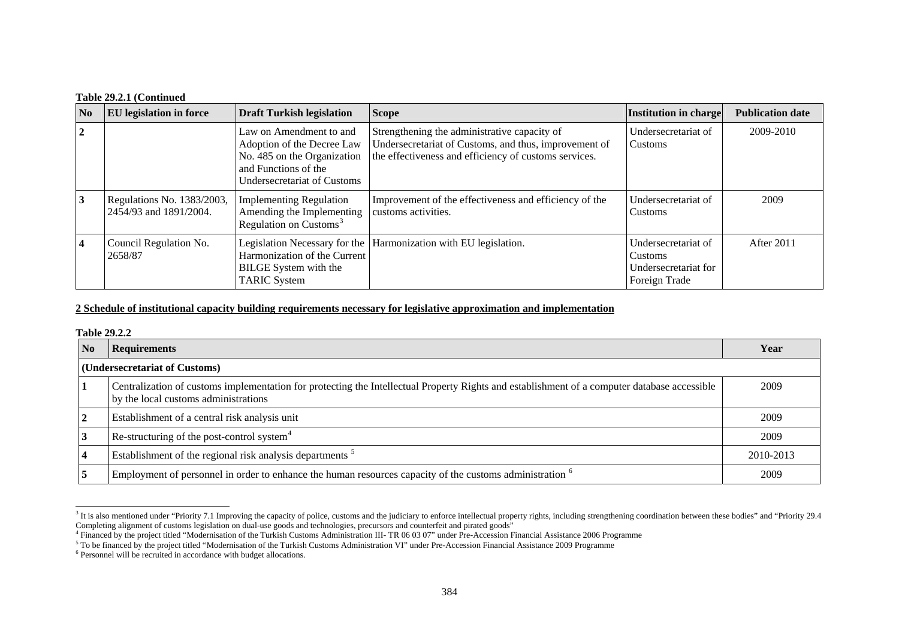#### **Table 29.2.1 (Continued**

| N <sub>0</sub> | <b>EU</b> legislation in force                       | <b>Draft Turkish legislation</b>                                                                                                            | <b>Scope</b>                                                                                                                                                   | Institution in charge                                                          | <b>Publication date</b> |
|----------------|------------------------------------------------------|---------------------------------------------------------------------------------------------------------------------------------------------|----------------------------------------------------------------------------------------------------------------------------------------------------------------|--------------------------------------------------------------------------------|-------------------------|
| $\overline{2}$ |                                                      | Law on Amendment to and<br>Adoption of the Decree Law<br>No. 485 on the Organization<br>and Functions of the<br>Undersecretariat of Customs | Strengthening the administrative capacity of<br>Undersecretariat of Customs, and thus, improvement of<br>the effectiveness and efficiency of customs services. | Undersecretariat of<br>Customs                                                 | 2009-2010               |
| 3              | Regulations No. 1383/2003,<br>2454/93 and 1891/2004. | <b>Implementing Regulation</b><br>Amending the Implementing<br>Regulation on Customs <sup>3</sup>                                           | Improvement of the effectiveness and efficiency of the<br>customs activities.                                                                                  | Undersecretariat of<br><b>Customs</b>                                          | 2009                    |
| $\overline{4}$ | Council Regulation No.<br>2658/87                    | Harmonization of the Current<br>BILGE System with the<br><b>TARIC System</b>                                                                | Legislation Necessary for the Harmonization with EU legislation.                                                                                               | Undersecretariat of<br><b>Customs</b><br>Undersecretariat for<br>Foreign Trade | After 2011              |

#### **2 Schedule of institutional capacity building requirements necessary for legislative approximation and implementation**

#### **Table 29.2.2**

| No             | <b>Requirements</b>                                                                                                                                                                  | Year      |
|----------------|--------------------------------------------------------------------------------------------------------------------------------------------------------------------------------------|-----------|
|                | (Undersecretariat of Customs)                                                                                                                                                        |           |
|                | Centralization of customs implementation for protecting the Intellectual Property Rights and establishment of a computer database accessible<br>by the local customs administrations | 2009      |
| $\overline{2}$ | Establishment of a central risk analysis unit                                                                                                                                        | 2009      |
| 3              | Re-structuring of the post-control system <sup>4</sup>                                                                                                                               | 2009      |
| $\overline{4}$ | Establishment of the regional risk analysis departments <sup>5</sup>                                                                                                                 | 2010-2013 |
| 5              | Employment of personnel in order to enhance the human resources capacity of the customs administration <sup>6</sup>                                                                  | 2009      |

<span id="page-3-0"></span> $3$  It is also mentioned under "Priority 7.1 Improving the capacity of police, customs and the judiciary to enforce intellectual property rights, including strengthening coordination between these bodies" and "Priority 29 Completing alignment of customs legislation on dual-use goods and technologies, precursors and counterfeit and pirated goods"<br><sup>4</sup> Financed by the project titled "Modernisation of the Turkish Customs Administration III- TR

<span id="page-3-2"></span><span id="page-3-1"></span><sup>&</sup>lt;sup>5</sup> To be financed by the project titled "Modernisation of the Turkish Customs Administration VI" under Pre-Accession Financial Assistance 2009 Programme

<span id="page-3-3"></span><sup>&</sup>lt;sup>6</sup> Personnel will be recruited in accordance with budget allocations.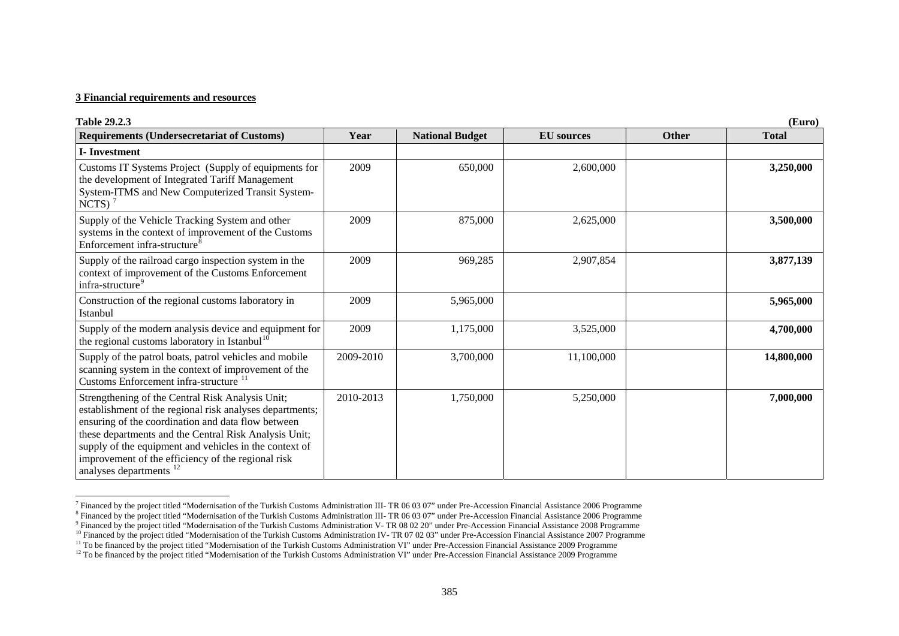#### **3 Financial requirements and resources**

| <b>Table 29.2.3</b>                                                                                                                                                                                                                                                                                                                                                               |           |                        |                   |              | (Euro)       |
|-----------------------------------------------------------------------------------------------------------------------------------------------------------------------------------------------------------------------------------------------------------------------------------------------------------------------------------------------------------------------------------|-----------|------------------------|-------------------|--------------|--------------|
| <b>Requirements (Undersecretariat of Customs)</b>                                                                                                                                                                                                                                                                                                                                 | Year      | <b>National Budget</b> | <b>EU</b> sources | <b>Other</b> | <b>Total</b> |
| <b>I</b> -Investment                                                                                                                                                                                                                                                                                                                                                              |           |                        |                   |              |              |
| Customs IT Systems Project (Supply of equipments for<br>the development of Integrated Tariff Management<br>System-ITMS and New Computerized Transit System-<br>NCTS) $7$                                                                                                                                                                                                          | 2009      | 650,000                | 2,600,000         |              | 3,250,000    |
| Supply of the Vehicle Tracking System and other<br>systems in the context of improvement of the Customs<br>Enforcement infra-structure <sup>8</sup>                                                                                                                                                                                                                               | 2009      | 875,000                | 2,625,000         |              | 3,500,000    |
| Supply of the railroad cargo inspection system in the<br>context of improvement of the Customs Enforcement<br>infra-structure <sup>9</sup>                                                                                                                                                                                                                                        | 2009      | 969,285                | 2,907,854         |              | 3,877,139    |
| Construction of the regional customs laboratory in<br>Istanbul                                                                                                                                                                                                                                                                                                                    | 2009      | 5,965,000              |                   |              | 5,965,000    |
| Supply of the modern analysis device and equipment for<br>the regional customs laboratory in Istanbul <sup>10</sup>                                                                                                                                                                                                                                                               | 2009      | 1,175,000              | 3,525,000         |              | 4,700,000    |
| Supply of the patrol boats, patrol vehicles and mobile<br>scanning system in the context of improvement of the<br>Customs Enforcement infra-structure                                                                                                                                                                                                                             | 2009-2010 | 3,700,000              | 11,100,000        |              | 14,800,000   |
| Strengthening of the Central Risk Analysis Unit;<br>establishment of the regional risk analyses departments;<br>ensuring of the coordination and data flow between<br>these departments and the Central Risk Analysis Unit;<br>supply of the equipment and vehicles in the context of<br>improvement of the efficiency of the regional risk<br>analyses departments <sup>12</sup> | 2010-2013 | 1,750,000              | 5,250,000         |              | 7,000,000    |

<sup>&</sup>lt;sup>7</sup> Financed by the project titled "Modernisation of the Turkish Customs Administration III- TR 06 03 07" under Pre-Accession Financial Assistance 2006 Programme

<span id="page-4-0"></span><sup>&</sup>lt;sup>8</sup> Financed by the project titled "Modernisation of the Turkish Customs Administration III- TR 06 03 07" under Pre-Accession Financial Assistance 2006 Programme

<span id="page-4-2"></span><span id="page-4-1"></span><sup>9</sup> Financed by the project titled "Modernisation of the Turkish Customs Administration V- TR 08 02 20" under Pre-Accession Financial Assistance 2008 Programme

<span id="page-4-3"></span><sup>&</sup>lt;sup>10</sup> Financed by the project titled "Modernisation of the Turkish Customs Administration IV- TR 07 02 03" under Pre-Accession Financial Assistance 2007 Programme

<sup>&</sup>lt;sup>11</sup> To be financed by the project titled "Modernisation of the Turkish Customs Administration VI" under Pre-Accession Financial Assistance 2009 Programme

<span id="page-4-5"></span><span id="page-4-4"></span><sup>&</sup>lt;sup>12</sup> To be financed by the project titled "Modernisation of the Turkish Customs Administration VI" under Pre-Accession Financial Assistance 2009 Programme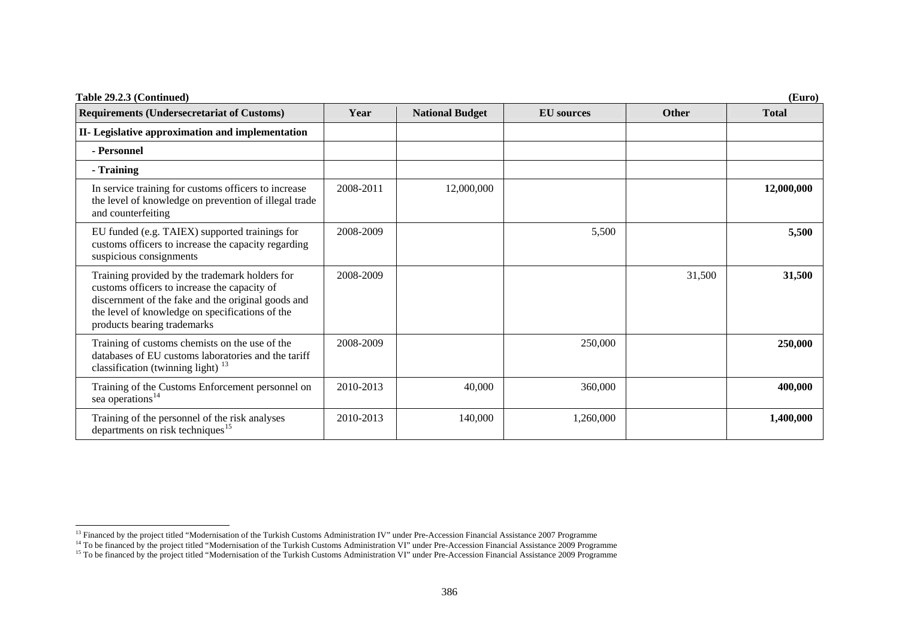| Table 29.2.3 (Continued)                                                                                                                                                                                                               |           |                        |                   |              | (Euro)       |
|----------------------------------------------------------------------------------------------------------------------------------------------------------------------------------------------------------------------------------------|-----------|------------------------|-------------------|--------------|--------------|
| <b>Requirements (Undersecretariat of Customs)</b>                                                                                                                                                                                      | Year      | <b>National Budget</b> | <b>EU</b> sources | <b>Other</b> | <b>Total</b> |
| II- Legislative approximation and implementation                                                                                                                                                                                       |           |                        |                   |              |              |
| - Personnel                                                                                                                                                                                                                            |           |                        |                   |              |              |
| - Training                                                                                                                                                                                                                             |           |                        |                   |              |              |
| In service training for customs officers to increase<br>the level of knowledge on prevention of illegal trade<br>and counterfeiting                                                                                                    | 2008-2011 | 12,000,000             |                   |              | 12,000,000   |
| EU funded (e.g. TAIEX) supported trainings for<br>customs officers to increase the capacity regarding<br>suspicious consignments                                                                                                       | 2008-2009 |                        | 5,500             |              | 5,500        |
| Training provided by the trademark holders for<br>customs officers to increase the capacity of<br>discernment of the fake and the original goods and<br>the level of knowledge on specifications of the<br>products bearing trademarks | 2008-2009 |                        |                   | 31,500       | 31,500       |
| Training of customs chemists on the use of the<br>databases of EU customs laboratories and the tariff<br>classification (twinning light) $^{13}$                                                                                       | 2008-2009 |                        | 250,000           |              | 250,000      |
| Training of the Customs Enforcement personnel on<br>sea operations <sup>14</sup>                                                                                                                                                       | 2010-2013 | 40,000                 | 360,000           |              | 400,000      |
| Training of the personnel of the risk analyses<br>departments on risk techniques <sup>15</sup>                                                                                                                                         | 2010-2013 | 140,000                | 1,260,000         |              | 1,400,000    |

<span id="page-5-1"></span><span id="page-5-0"></span><sup>&</sup>lt;sup>13</sup> Financed by the project titled "Modernisation of the Turkish Customs Administration IV" under Pre-Accession Financial Assistance 2007 Programme

<span id="page-5-2"></span><sup>&</sup>lt;sup>14</sup> To be financed by the project titled "Modernisation of the Turkish Customs Administration VI" under Pre-Accession Financial Assistance 2009 Programme

<sup>&</sup>lt;sup>15</sup> To be financed by the project titled "Modernisation of the Turkish Customs Administration VI" under Pre-Accession Financial Assistance 2009 Programme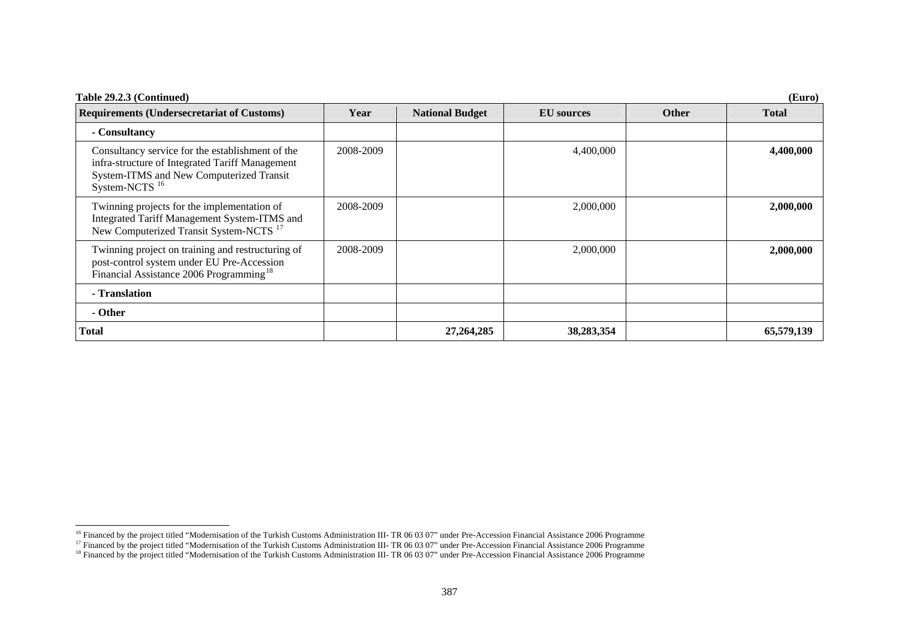| Table 29.2.3 (Continued)                                                                                                                                                       |           |                        |                   |              | (Euro)       |
|--------------------------------------------------------------------------------------------------------------------------------------------------------------------------------|-----------|------------------------|-------------------|--------------|--------------|
| <b>Requirements (Undersecretariat of Customs)</b>                                                                                                                              | Year      | <b>National Budget</b> | <b>EU</b> sources | <b>Other</b> | <b>Total</b> |
| - Consultancy                                                                                                                                                                  |           |                        |                   |              |              |
| Consultancy service for the establishment of the<br>infra-structure of Integrated Tariff Management<br>System-ITMS and New Computerized Transit<br>$System-NCTS$ <sup>16</sup> | 2008-2009 |                        | 4,400,000         |              | 4,400,000    |
| Twinning projects for the implementation of<br>Integrated Tariff Management System-ITMS and<br>New Computerized Transit System-NCTS <sup>17</sup>                              | 2008-2009 |                        | 2,000,000         |              | 2,000,000    |
| Twinning project on training and restructuring of<br>post-control system under EU Pre-Accession<br>Financial Assistance 2006 Programming <sup>18</sup>                         | 2008-2009 |                        | 2,000,000         |              | 2,000,000    |
| - Translation                                                                                                                                                                  |           |                        |                   |              |              |
| - Other                                                                                                                                                                        |           |                        |                   |              |              |
| <b>Total</b>                                                                                                                                                                   |           | 27,264,285             | 38,283,354        |              | 65,579,139   |

<span id="page-6-1"></span><span id="page-6-0"></span><sup>&</sup>lt;sup>16</sup> Financed by the project titled "Modernisation of the Turkish Customs Administration III- TR 06 03 07" under Pre-Accession Financial Assistance 2006 Programme

<sup>&</sup>lt;sup>17</sup> Financed by the project titled "Modernisation of the Turkish Customs Administration III- TR 06 03 07" under Pre-Accession Financial Assistance 2006 Programme

<span id="page-6-2"></span><sup>&</sup>lt;sup>18</sup> Financed by the project titled "Modernisation of the Turkish Customs Administration III- TR 06 03 07" under Pre-Accession Financial Assistance 2006 Programme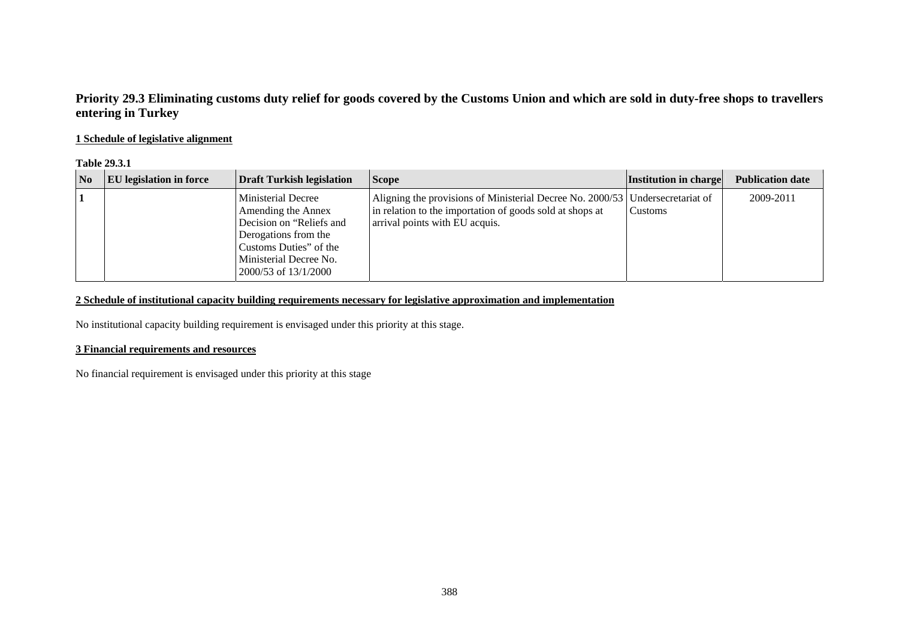## **Priority 29.3 Eliminating customs duty relief for goods covered by the Customs Union and which are sold in duty-free shops to travellers entering in Turkey**

## **1 Schedule of legislative alignment**

#### **Table 29.3.1**

| No | <b>EU</b> legislation in force | <b>Draft Turkish legislation</b>                                                                                                                                                | <b>Scope</b>                                                                                                                                                                | <b>Institution in charge</b> | <b>Publication date</b> |
|----|--------------------------------|---------------------------------------------------------------------------------------------------------------------------------------------------------------------------------|-----------------------------------------------------------------------------------------------------------------------------------------------------------------------------|------------------------------|-------------------------|
|    |                                | <b>Ministerial Decree</b><br>Amending the Annex<br>Decision on "Reliefs and<br>Derogations from the<br>Customs Duties" of the<br>Ministerial Decree No.<br>2000/53 of 13/1/2000 | Aligning the provisions of Ministerial Decree No. 2000/53 Undersecretariat of<br>in relation to the importation of goods sold at shops at<br>arrival points with EU acquis. | Customs                      | 2009-2011               |

## **2 Schedule of institutional capacity building requirements necessary for legislative approximation and implementation**

No institutional capacity building requirement is envisaged under this priority at this stage.

### **3 Financial requirements and resources**

No financial requirement is envisaged under this priority at this stage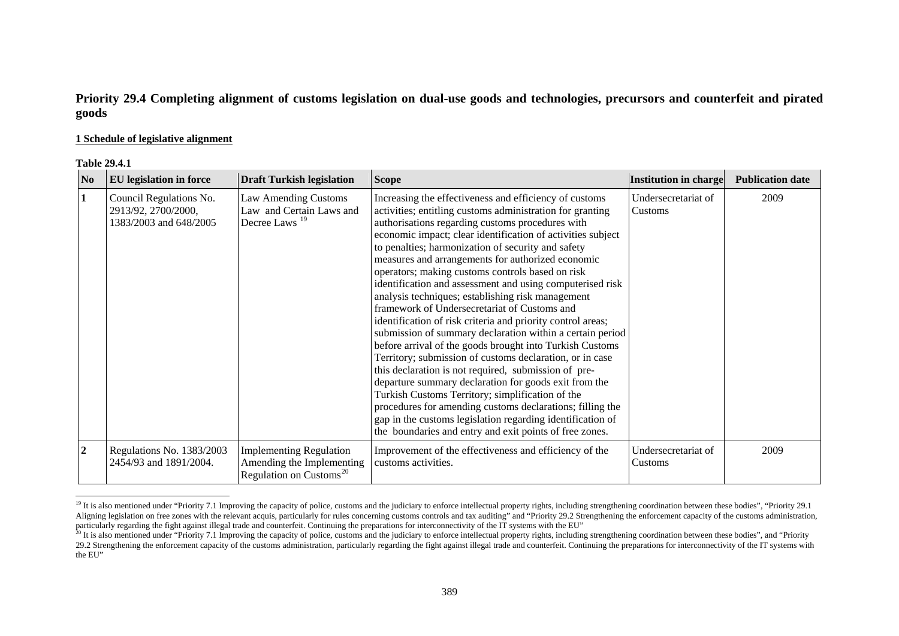## **Priority 29.4 Completing alignment of customs legislation on dual-use goods and technologies, precursors and counterfeit and pirated goods**

#### **1 Schedule of legislative alignment**

| <b>Table 29.4.1</b> |
|---------------------|
|---------------------|

| N <sub>0</sub>   | <b>EU</b> legislation in force                                           | <b>Draft Turkish legislation</b>                                                                   | <b>Scope</b>                                                                                                                                                                                                                                                                                                                                                                                                                                                                                                                                                                                                                                                                                                                                                                                                                                                                                                                                                                                                                                                                                                                                                                           | Institution in charge          | <b>Publication date</b> |
|------------------|--------------------------------------------------------------------------|----------------------------------------------------------------------------------------------------|----------------------------------------------------------------------------------------------------------------------------------------------------------------------------------------------------------------------------------------------------------------------------------------------------------------------------------------------------------------------------------------------------------------------------------------------------------------------------------------------------------------------------------------------------------------------------------------------------------------------------------------------------------------------------------------------------------------------------------------------------------------------------------------------------------------------------------------------------------------------------------------------------------------------------------------------------------------------------------------------------------------------------------------------------------------------------------------------------------------------------------------------------------------------------------------|--------------------------------|-------------------------|
| 1                | Council Regulations No.<br>2913/92, 2700/2000,<br>1383/2003 and 648/2005 | Law Amending Customs<br>Law and Certain Laws and<br>Decree Laws <sup>19</sup>                      | Increasing the effectiveness and efficiency of customs<br>activities; entitling customs administration for granting<br>authorisations regarding customs procedures with<br>economic impact; clear identification of activities subject<br>to penalties; harmonization of security and safety<br>measures and arrangements for authorized economic<br>operators; making customs controls based on risk<br>identification and assessment and using computerised risk<br>analysis techniques; establishing risk management<br>framework of Undersecretariat of Customs and<br>identification of risk criteria and priority control areas;<br>submission of summary declaration within a certain period<br>before arrival of the goods brought into Turkish Customs<br>Territory; submission of customs declaration, or in case<br>this declaration is not required, submission of pre-<br>departure summary declaration for goods exit from the<br>Turkish Customs Territory; simplification of the<br>procedures for amending customs declarations; filling the<br>gap in the customs legislation regarding identification of<br>the boundaries and entry and exit points of free zones. | Undersecretariat of<br>Customs | 2009                    |
| $\boldsymbol{2}$ | Regulations No. 1383/2003<br>2454/93 and 1891/2004.                      | <b>Implementing Regulation</b><br>Amending the Implementing<br>Regulation on Customs <sup>20</sup> | Improvement of the effectiveness and efficiency of the<br>customs activities.                                                                                                                                                                                                                                                                                                                                                                                                                                                                                                                                                                                                                                                                                                                                                                                                                                                                                                                                                                                                                                                                                                          | Undersecretariat of<br>Customs | 2009                    |

<span id="page-8-0"></span><sup>&</sup>lt;sup>19</sup> It is also mentioned under "Priority 7.1 Improving the capacity of police, customs and the judiciary to enforce intellectual property rights, including strengthening coordination between these bodies", "Priority 29.1 Aligning legislation on free zones with the relevant acquis, particularly for rules concerning customs controls and tax auditing" and "Priority 29.2 Strengthening the enforcement capacity of the customs administration, particularly regarding the fight against illegal trade and counterfeit. Continuing the preparations for interconnectivity of the IT systems with the EU"

<span id="page-8-1"></span><sup>&</sup>lt;sup>20</sup> It is also mentioned under "Priority 7.1 Improving the capacity of police, customs and the judiciary to enforce intellectual property rights, including strengthening coordination between these bodies", and "Priority" 29.2 Strengthening the enforcement capacity of the customs administration, particularly regarding the fight against illegal trade and counterfeit. Continuing the preparations for interconnectivity of the IT systems with the EU"